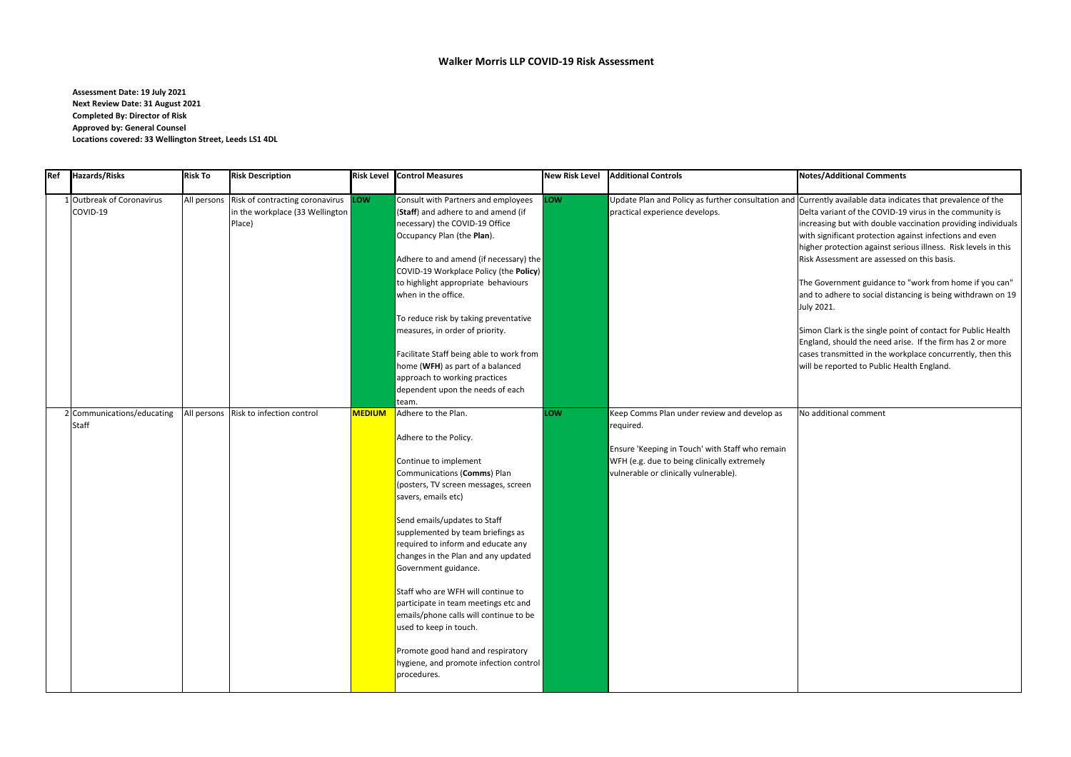**Assessment Date: 19 July 2021 Next Review Date: 31 August 2021 Completed By: Director of Risk Approved by: General Counsel Locations covered: 33 Wellington Street, Leeds LS1 4DL**

## **Ref Hazards/Risks Risk To Risk Description Risk Level Control Measures New Risk Level Additional Controls Notes/Additional Comments**

rrently available data indicates that prevalence of the Ita variant of the COVID-19 virus in the community is reasing but with double vaccination providing individuals th significant protection against infections and even gher protection against serious illness. Risk levels in this k Assessment are assessed on this basis.

<sup>2</sup> Government guidance to "work from home if you can d to adhere to social distancing is being withdrawn on 19  $y 2021.$ 

non Clark is the single point of contact for Public Health gland, should the need arise. If the firm has 2 or more ses transmitted in the workplace concurrently, then this be reported to Public Health England.

additional comment

| Ref | <b>Hazards/Risks</b>                       | <b>Risk To</b> | <b>Risk Description</b>                                                          | <b>Risk Level</b> | <b>Control Measures</b>                                                                                                                                                                                                                                                                                                                                                                                                                                                                                                                                                                       | <b>New Risk Level</b> | <b>Additional Controls</b>                                                                                                                                                                          | Not                       |
|-----|--------------------------------------------|----------------|----------------------------------------------------------------------------------|-------------------|-----------------------------------------------------------------------------------------------------------------------------------------------------------------------------------------------------------------------------------------------------------------------------------------------------------------------------------------------------------------------------------------------------------------------------------------------------------------------------------------------------------------------------------------------------------------------------------------------|-----------------------|-----------------------------------------------------------------------------------------------------------------------------------------------------------------------------------------------------|---------------------------|
|     | 1 Outbreak of Coronavirus<br>COVID-19      | All persons    | Risk of contracting coronavirus LOW<br>in the workplace (33 Wellington<br>Place) |                   | Consult with Partners and employees<br>(Staff) and adhere to and amend (if<br>necessary) the COVID-19 Office<br>Occupancy Plan (the Plan).                                                                                                                                                                                                                                                                                                                                                                                                                                                    | LOW                   | Update Plan and Policy as further consultation and Cur<br>practical experience develops.                                                                                                            | Del<br>inci<br>wit<br>hig |
|     |                                            |                |                                                                                  |                   | Adhere to and amend (if necessary) the<br>COVID-19 Workplace Policy (the Policy)<br>to highlight appropriate behaviours<br>when in the office.                                                                                                                                                                                                                                                                                                                                                                                                                                                |                       |                                                                                                                                                                                                     | Risl<br>The<br>and        |
|     |                                            |                |                                                                                  |                   | To reduce risk by taking preventative<br>measures, in order of priority.                                                                                                                                                                                                                                                                                                                                                                                                                                                                                                                      |                       |                                                                                                                                                                                                     | <b>July</b><br>Sim<br>Eng |
|     |                                            |                |                                                                                  |                   | Facilitate Staff being able to work from<br>home (WFH) as part of a balanced<br>approach to working practices<br>dependent upon the needs of each<br>team.                                                                                                                                                                                                                                                                                                                                                                                                                                    |                       |                                                                                                                                                                                                     | cas<br>will               |
|     | 2 Communications/educating<br><b>Staff</b> | All persons    | Risk to infection control                                                        | <b>MEDIUM</b>     | Adhere to the Plan.<br>Adhere to the Policy.<br>Continue to implement<br>Communications (Comms) Plan<br>(posters, TV screen messages, screen<br>savers, emails etc)<br>Send emails/updates to Staff<br>supplemented by team briefings as<br>required to inform and educate any<br>changes in the Plan and any updated<br>Government guidance.<br>Staff who are WFH will continue to<br>participate in team meetings etc and<br>emails/phone calls will continue to be<br>used to keep in touch.<br>Promote good hand and respiratory<br>hygiene, and promote infection control<br>procedures. | LOW                   | Keep Comms Plan under review and develop as<br>required.<br>Ensure 'Keeping in Touch' with Staff who remain<br>WFH (e.g. due to being clinically extremely<br>vulnerable or clinically vulnerable). | No                        |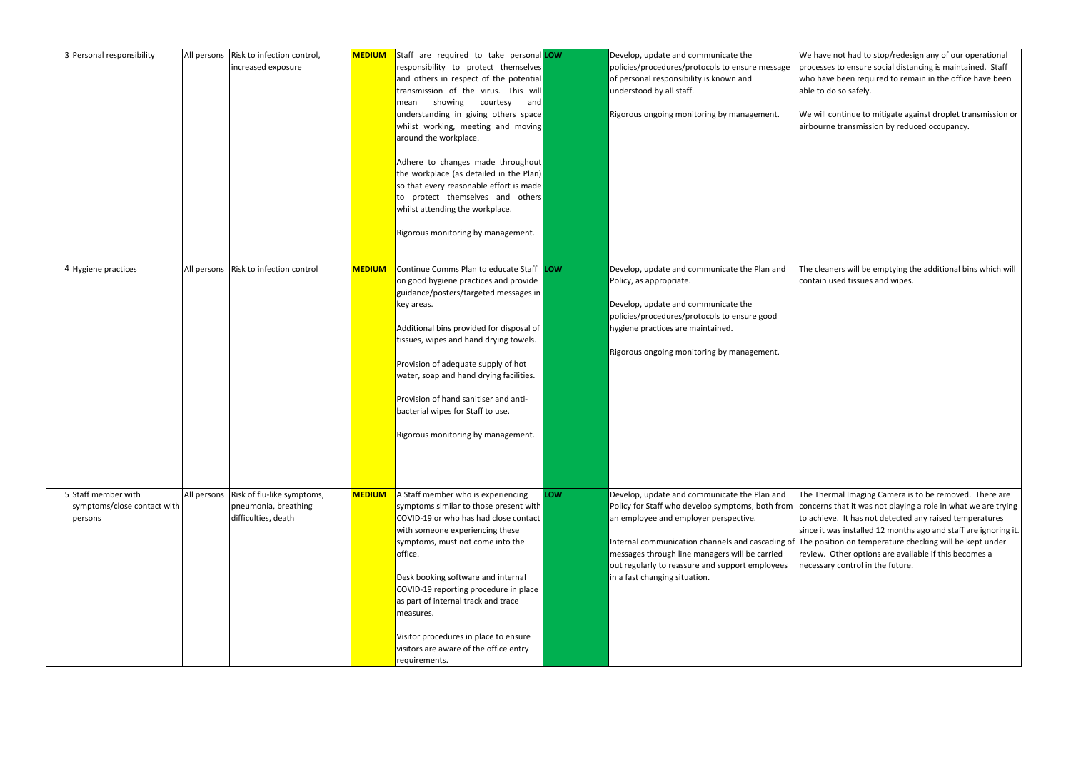| 3 Personal responsibility                                     | All persons | Risk to infection control,<br>increased exposure                          | <b>MEDIUM</b> | Staff are required to take personal LOW<br>responsibility to protect themselves<br>and others in respect of the potential<br>transmission of the virus. This will<br>showing<br>courtesy<br>mean<br>and<br>understanding in giving others space<br>whilst working, meeting and moving<br>around the workplace.<br>Adhere to changes made throughout<br>the workplace (as detailed in the Plan)<br>so that every reasonable effort is made<br>to protect themselves and others<br>whilst attending the workplace.<br>Rigorous monitoring by management. |            | Develop, update and communicate the<br>policies/procedures/protocols to ensure message<br>of personal responsibility is known and<br>understood by all staff.<br>Rigorous ongoing monitoring by management.                                                                                                                               | W<br><b>pr</b><br>wl<br>lab<br>W<br>laiı |
|---------------------------------------------------------------|-------------|---------------------------------------------------------------------------|---------------|--------------------------------------------------------------------------------------------------------------------------------------------------------------------------------------------------------------------------------------------------------------------------------------------------------------------------------------------------------------------------------------------------------------------------------------------------------------------------------------------------------------------------------------------------------|------------|-------------------------------------------------------------------------------------------------------------------------------------------------------------------------------------------------------------------------------------------------------------------------------------------------------------------------------------------|------------------------------------------|
| 4 Hygiene practices                                           |             | All persons   Risk to infection control                                   | <b>MEDIUM</b> | Continue Comms Plan to educate Staff LOW<br>on good hygiene practices and provide<br>guidance/posters/targeted messages in<br>key areas.<br>Additional bins provided for disposal of<br>tissues, wipes and hand drying towels.<br>Provision of adequate supply of hot<br>water, soap and hand drying facilities.<br>Provision of hand sanitiser and anti-<br>bacterial wipes for Staff to use.<br>Rigorous monitoring by management.                                                                                                                   |            | Develop, update and communicate the Plan and<br>Policy, as appropriate.<br>Develop, update and communicate the<br>policies/procedures/protocols to ensure good<br>hygiene practices are maintained.<br>Rigorous ongoing monitoring by management.                                                                                         | <b>ITh</b><br>co                         |
| 5 Staff member with<br>symptoms/close contact with<br>persons | All persons | Risk of flu-like symptoms,<br>pneumonia, breathing<br>difficulties, death | <b>MEDIUM</b> | A Staff member who is experiencing<br>symptoms similar to those present with<br>COVID-19 or who has had close contact<br>with someone experiencing these<br>symptoms, must not come into the<br>office.<br>Desk booking software and internal<br>COVID-19 reporting procedure in place<br>as part of internal track and trace<br>measures.<br>Visitor procedures in place to ensure<br>visitors are aware of the office entry<br>requirements.                                                                                                         | <b>LOW</b> | Develop, update and communicate the Plan and<br>Policy for Staff who develop symptoms, both from co<br>an employee and employer perspective.<br>Internal communication channels and cascading of Th<br>messages through line managers will be carried<br>out regularly to reassure and support employees<br>in a fast changing situation. | <b>Th</b><br>lsir                        |

le have not had to stop/redesign any of our operational rocesses to ensure social distancing is maintained. Staff ho have been required to remain in the office have been ble to do so safely.

/e will continue to mitigate against droplet transmission or irbourne transmission by reduced occupancy.

he cleaners will be emptying the additional bins which will ontain used tissues and wipes.

he Thermal Imaging Camera is to be removed. There are oncerns that it was not playing a role in what we are trying o achieve. It has not detected any raised temperatures nce it was installed 12 months ago and staff are ignoring it. he position on temperature checking will be kept under eview. Other options are available if this becomes a ecessary control in the future.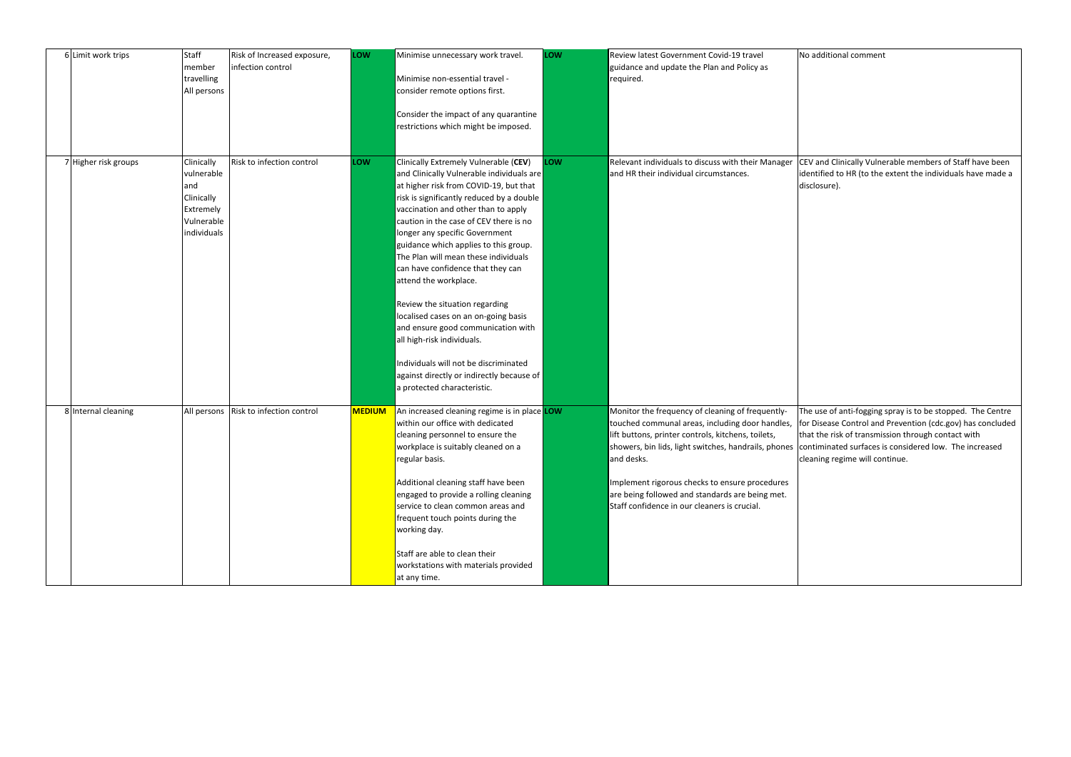| 6 Limit work trips   | Staff<br>member<br>travelling<br>All persons                                            | Risk of Increased exposure,<br>infection control | LOW           | Minimise unnecessary work travel.<br>Minimise non-essential travel -<br>consider remote options first.<br>Consider the impact of any quarantine<br>restrictions which might be imposed.                                                                                                                                                                                                                                                                                                                                                                                                                                                                                                                        | LOW | Review latest Government Covid-19 travel<br>guidance and update the Plan and Policy as<br>required.                                                                                                                                                                                                                                                                                        | N <sub>o</sub>           |
|----------------------|-----------------------------------------------------------------------------------------|--------------------------------------------------|---------------|----------------------------------------------------------------------------------------------------------------------------------------------------------------------------------------------------------------------------------------------------------------------------------------------------------------------------------------------------------------------------------------------------------------------------------------------------------------------------------------------------------------------------------------------------------------------------------------------------------------------------------------------------------------------------------------------------------------|-----|--------------------------------------------------------------------------------------------------------------------------------------------------------------------------------------------------------------------------------------------------------------------------------------------------------------------------------------------------------------------------------------------|--------------------------|
| 7 Higher risk groups | Clinically<br>vulnerable<br>and<br>Clinically<br>Extremely<br>Vulnerable<br>individuals | Risk to infection control                        | LOW           | Clinically Extremely Vulnerable (CEV)<br>and Clinically Vulnerable individuals are<br>at higher risk from COVID-19, but that<br>risk is significantly reduced by a double<br>vaccination and other than to apply<br>caution in the case of CEV there is no<br>longer any specific Government<br>guidance which applies to this group.<br>The Plan will mean these individuals<br>can have confidence that they can<br>attend the workplace.<br>Review the situation regarding<br>localised cases on an on-going basis<br>and ensure good communication with<br>all high-risk individuals.<br>Individuals will not be discriminated<br>against directly or indirectly because of<br>a protected characteristic. | LOW | Relevant individuals to discuss with their Manager CE<br>and HR their individual circumstances.                                                                                                                                                                                                                                                                                            | di:                      |
| 8 Internal cleaning  | All persons                                                                             | Risk to infection control                        | <b>MEDIUM</b> | An increased cleaning regime is in place LOW<br>within our office with dedicated<br>cleaning personnel to ensure the<br>workplace is suitably cleaned on a<br>regular basis.<br>Additional cleaning staff have been<br>engaged to provide a rolling cleaning<br>service to clean common areas and<br>frequent touch points during the<br>working day.<br>Staff are able to clean their<br>workstations with materials provided<br>at any time.                                                                                                                                                                                                                                                                 |     | Monitor the frequency of cleaning of frequently-<br>touched communal areas, including door handles, fo<br>lift buttons, printer controls, kitchens, toilets,<br>showers, bin lids, light switches, handrails, phones co<br>and desks.<br>Implement rigorous checks to ensure procedures<br>are being followed and standards are being met.<br>Staff confidence in our cleaners is crucial. | ITh<br>lth<br><b>Cle</b> |

EV and Clinically Vulnerable members of Staff have been lentified to HR (to the extent the individuals have made a isclosure).

he use of anti-fogging spray is to be stopped. The Centre or Disease Control and Prevention (cdc.gov) has concluded at the risk of transmission through contact with ontiminated surfaces is considered low. The increased eaning regime will continue.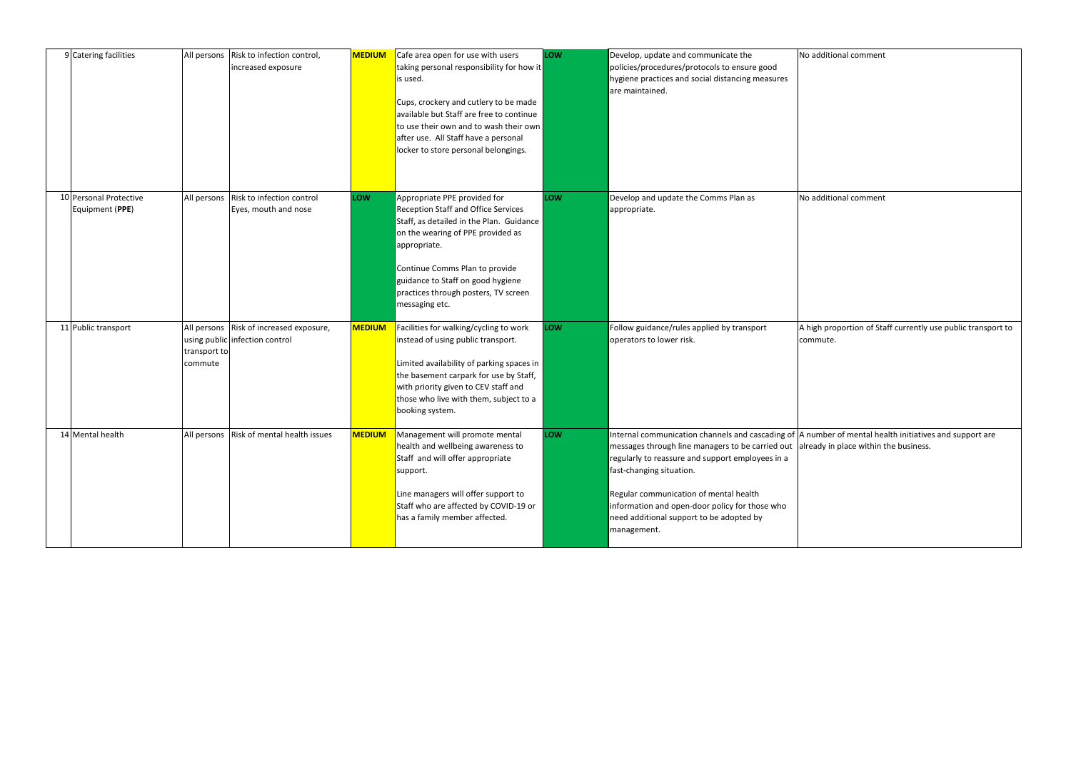high proportion of Staff currently use public transport to commute.

number of mental health initiatives and support are ready in place within the business.

| 9 Catering facilities                     | All persons             | Risk to infection control,<br>increased exposure                          | <b>MEDIUM</b> | Cafe area open for use with users<br>taking personal responsibility for how it<br>is used.<br>Cups, crockery and cutlery to be made<br>available but Staff are free to continue<br>to use their own and to wash their own<br>after use. All Staff have a personal<br>locker to store personal belongings.    | LOW        | Develop, update and communicate the<br>policies/procedures/protocols to ensure good<br>hygiene practices and social distancing measures<br>are maintained.                                                                                                                                                                                                  | No        |
|-------------------------------------------|-------------------------|---------------------------------------------------------------------------|---------------|--------------------------------------------------------------------------------------------------------------------------------------------------------------------------------------------------------------------------------------------------------------------------------------------------------------|------------|-------------------------------------------------------------------------------------------------------------------------------------------------------------------------------------------------------------------------------------------------------------------------------------------------------------------------------------------------------------|-----------|
| 10 Personal Protective<br>Equipment (PPE) |                         | All persons Risk to infection control<br>Eyes, mouth and nose             | <b>LOW</b>    | Appropriate PPE provided for<br><b>Reception Staff and Office Services</b><br>Staff, as detailed in the Plan. Guidance<br>on the wearing of PPE provided as<br>appropriate.<br>Continue Comms Plan to provide<br>guidance to Staff on good hygiene<br>practices through posters, TV screen<br>messaging etc. | <b>LOW</b> | Develop and update the Comms Plan as<br>appropriate.                                                                                                                                                                                                                                                                                                        | <b>No</b> |
| 11 Public transport                       | transport to<br>commute | All persons Risk of increased exposure,<br>using public infection control | <b>MEDIUM</b> | Facilities for walking/cycling to work<br>instead of using public transport.<br>Limited availability of parking spaces in<br>the basement carpark for use by Staff,<br>with priority given to CEV staff and<br>those who live with them, subject to a<br>booking system.                                     | LOW        | Follow guidance/rules applied by transport<br>operators to lower risk.                                                                                                                                                                                                                                                                                      | A<br>COI  |
| 14 Mental health                          |                         | All persons Risk of mental health issues                                  | <b>MEDIUM</b> | Management will promote mental<br>health and wellbeing awareness to<br>Staff and will offer appropriate<br>support.<br>Line managers will offer support to<br>Staff who are affected by COVID-19 or<br>has a family member affected.                                                                         | LOW        | Internal communication channels and cascading of $\vert$ A r<br>messages through line managers to be carried out alr<br>regularly to reassure and support employees in a<br>fast-changing situation.<br>Regular communication of mental health<br>information and open-door policy for those who<br>need additional support to be adopted by<br>management. |           |

o additional comment

deditional comment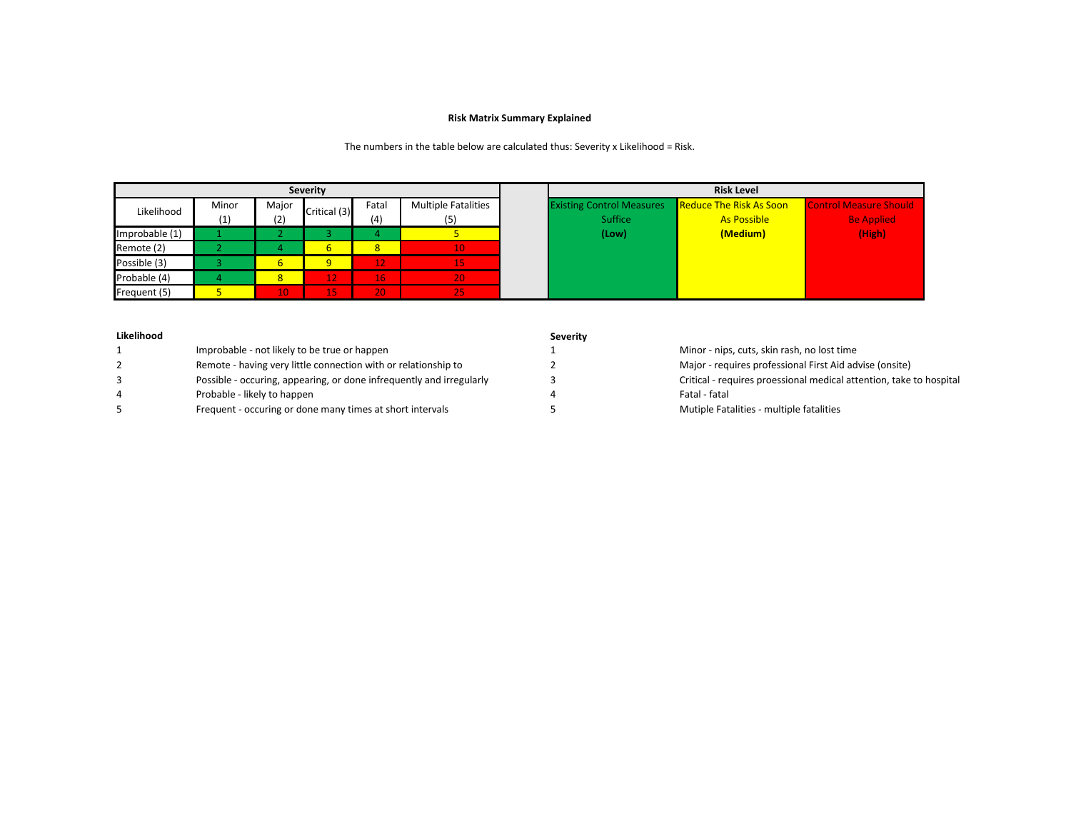## **Risk Matrix Summary Explained**

The numbers in the table below are calculated thus: Severity x Likelihood = Risk.

|                            | <b>Severity</b> |        |                |                |                            |  |                                  | <b>Risk Level</b>              |
|----------------------------|-----------------|--------|----------------|----------------|----------------------------|--|----------------------------------|--------------------------------|
| Likelihood                 | Minor           | Major  | Critical (3)   | Fatal          | <b>Multiple Fatalities</b> |  | <b>Existing Control Measures</b> | Reduce The Risk As Soon        |
|                            | (1)             | (2)    |                | (4)            | (5)                        |  | Suffice                          | <b>As Possible</b><br>(Medium) |
| Improbable (1)             |                 |        | 6 <sup>1</sup> | 8 <sup>2</sup> |                            |  | (Low)                            |                                |
| Remote (2)<br>Possible (3) |                 | 4<br>6 | a              | 12             | 10.<br>15,                 |  |                                  |                                |
| Probable (4)               |                 | 8      | 12             | 16             | 20 <sup>°</sup>            |  |                                  |                                |
| Frequent (5)               |                 | 10     | 15             | 20.            | 257                        |  |                                  |                                |

| Likelihood |                                                                      | <b>Severity</b> |                                                                     |
|------------|----------------------------------------------------------------------|-----------------|---------------------------------------------------------------------|
|            | Improbable - not likely to be true or happen                         |                 | Minor - nips, cuts, skin rash, no lost time                         |
|            | Remote - having very little connection with or relationship to       |                 | Major - requires professional First Aid advise (onsite)             |
|            | Possible - occuring, appearing, or done infrequently and irregularly |                 | Critical - requires proessional medical attention, take to hospital |
|            | Probable - likely to happen                                          |                 | Fatal - fatal                                                       |
|            | Frequent - occuring or done many times at short intervals            |                 | Mutiple Fatalities - multiple fatalities                            |
|            |                                                                      |                 |                                                                     |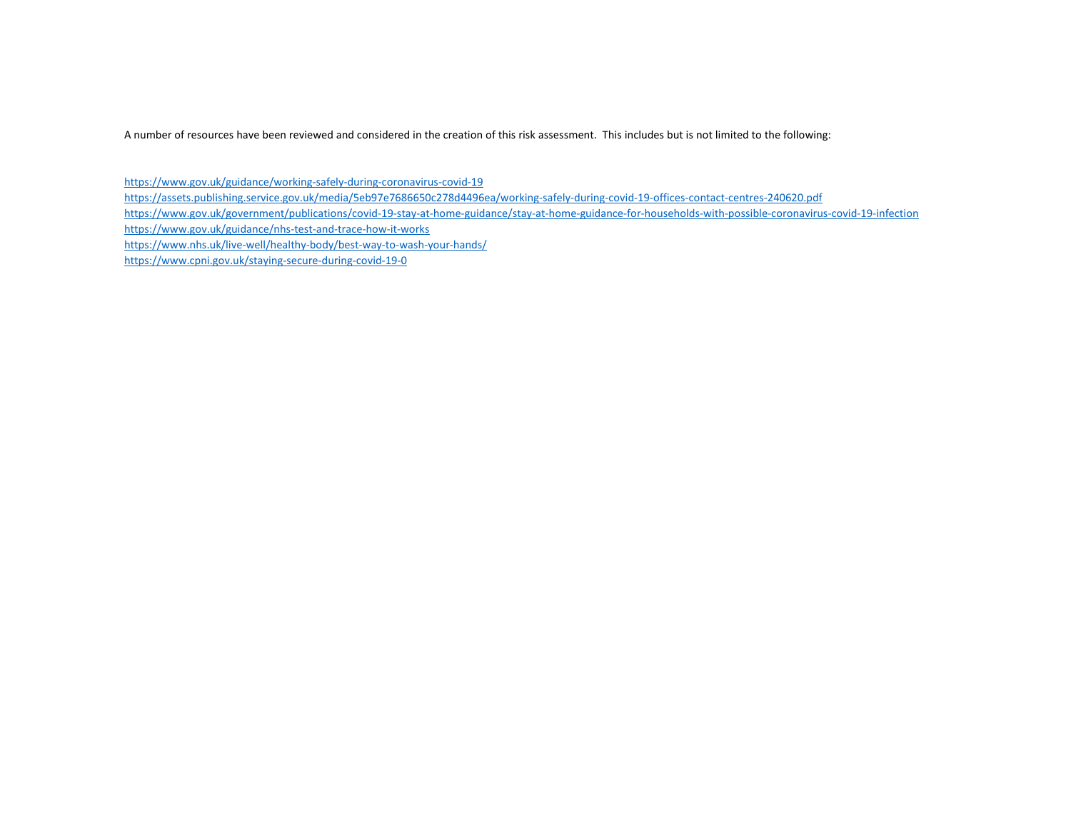A number of resources have been reviewed and considered in the creation of this risk assessment. This includes but is not limited to the following:

<https://www.gov.uk/guidance/working-safely-during-coronavirus-covid-19> <https://assets.publishing.service.gov.uk/media/5eb97e7686650c278d4496ea/working-safely-during-covid-19-offices-contact-centres-240620.pdf> <https://www.gov.uk/government/publications/covid-19-stay-at-home-guidance/stay-at-home-guidance-for-households-with-possible-coronavirus-covid-19-infection> <https://www.gov.uk/guidance/nhs-test-and-trace-how-it-works> <https://www.nhs.uk/live-well/healthy-body/best-way-to-wash-your-hands/> <https://www.cpni.gov.uk/staying-secure-during-covid-19-0>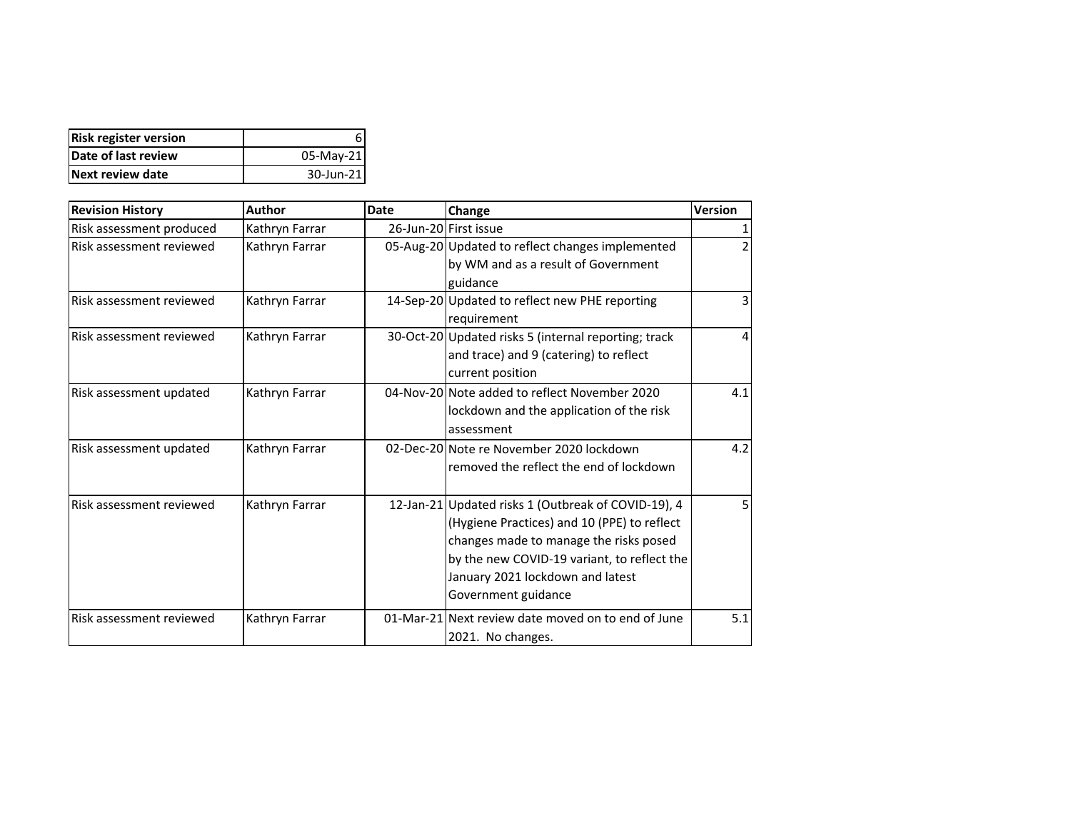| <b>Risk register version</b> |            |
|------------------------------|------------|
| Date of last review          | 05-May-21  |
| Next review date             | 30-Jun-211 |

| <b>Revision History</b>         | Author         | <b>Date</b> | Change                                                                                                                                                                                                                                                 | Version        |
|---------------------------------|----------------|-------------|--------------------------------------------------------------------------------------------------------------------------------------------------------------------------------------------------------------------------------------------------------|----------------|
| Risk assessment produced        | Kathryn Farrar |             | 26-Jun-20 First issue                                                                                                                                                                                                                                  | 1              |
| Risk assessment reviewed        | Kathryn Farrar |             | 05-Aug-20 Updated to reflect changes implemented<br>by WM and as a result of Government<br>guidance                                                                                                                                                    | 2              |
| Risk assessment reviewed        | Kathryn Farrar |             | 14-Sep-20 Updated to reflect new PHE reporting<br>requirement                                                                                                                                                                                          | 3              |
| <b>Risk assessment reviewed</b> | Kathryn Farrar |             | 30-Oct-20 Updated risks 5 (internal reporting; track<br>and trace) and 9 (catering) to reflect<br>current position                                                                                                                                     | $\overline{4}$ |
| Risk assessment updated         | Kathryn Farrar |             | 04-Nov-20 Note added to reflect November 2020<br>lockdown and the application of the risk<br>assessment                                                                                                                                                | 4.1            |
| Risk assessment updated         | Kathryn Farrar |             | 02-Dec-20 Note re November 2020 lockdown<br>removed the reflect the end of lockdown                                                                                                                                                                    | 4.2            |
| <b>Risk assessment reviewed</b> | Kathryn Farrar |             | 12-Jan-21 Updated risks 1 (Outbreak of COVID-19), 4<br>(Hygiene Practices) and 10 (PPE) to reflect<br>changes made to manage the risks posed<br>by the new COVID-19 variant, to reflect the<br>January 2021 lockdown and latest<br>Government guidance | 5              |
| Risk assessment reviewed        | Kathryn Farrar |             | 01-Mar-21 Next review date moved on to end of June<br>2021. No changes.                                                                                                                                                                                | 5.1            |